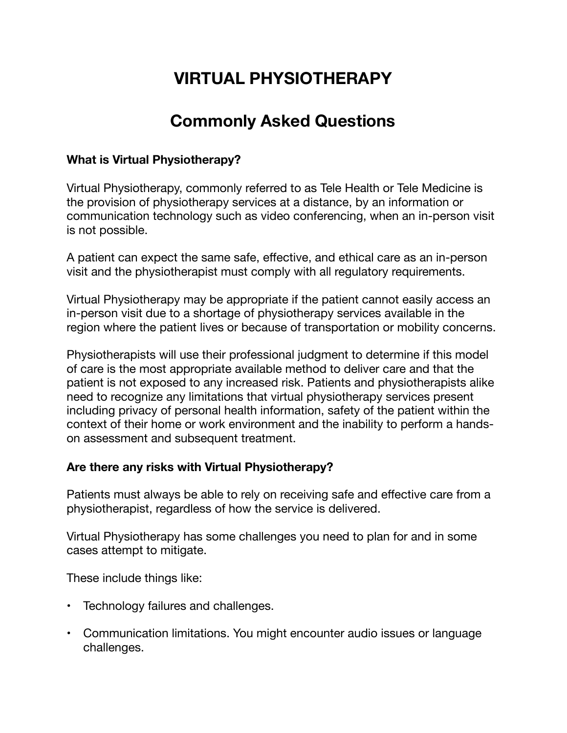# **VIRTUAL PHYSIOTHERAPY**

## **Commonly Asked Questions**

#### **What is Virtual Physiotherapy?**

Virtual Physiotherapy, commonly referred to as Tele Health or Tele Medicine is the provision of physiotherapy services at a distance, by an information or communication technology such as video conferencing, when an in-person visit is not possible.

A patient can expect the same safe, effective, and ethical care as an in-person visit and the physiotherapist must comply with all regulatory requirements.

Virtual Physiotherapy may be appropriate if the patient cannot easily access an in-person visit due to a shortage of physiotherapy services available in the region where the patient lives or because of transportation or mobility concerns.

Physiotherapists will use their professional judgment to determine if this model of care is the most appropriate available method to deliver care and that the patient is not exposed to any increased risk. Patients and physiotherapists alike need to recognize any limitations that virtual physiotherapy services present including privacy of personal health information, safety of the patient within the context of their home or work environment and the inability to perform a handson assessment and subsequent treatment.

#### **Are there any risks with Virtual Physiotherapy?**

Patients must always be able to rely on receiving safe and effective care from a physiotherapist, regardless of how the service is delivered.

Virtual Physiotherapy has some challenges you need to plan for and in some cases attempt to mitigate.

These include things like:

- Technology failures and challenges.
- Communication limitations. You might encounter audio issues or language challenges.